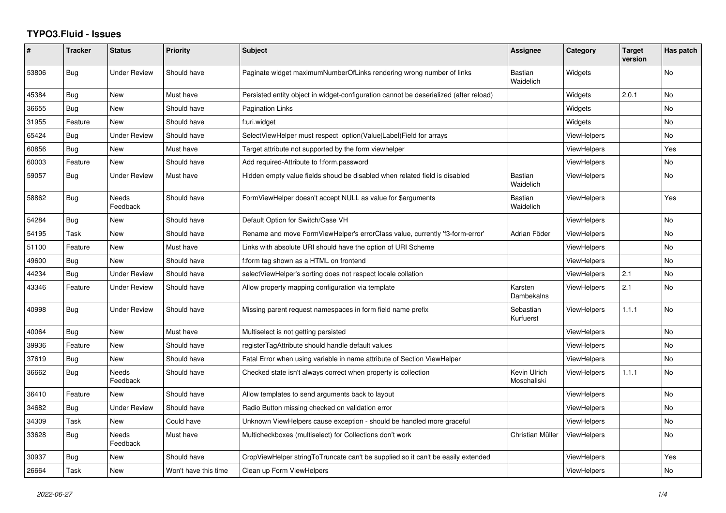## **TYPO3.Fluid - Issues**

| ∦     | <b>Tracker</b> | <b>Status</b>            | Priority             | Subject                                                                               | Assignee                    | Category           | <b>Target</b><br>version | Has patch      |
|-------|----------------|--------------------------|----------------------|---------------------------------------------------------------------------------------|-----------------------------|--------------------|--------------------------|----------------|
| 53806 | Bug            | <b>Under Review</b>      | Should have          | Paginate widget maximumNumberOfLinks rendering wrong number of links                  | <b>Bastian</b><br>Waidelich | Widgets            |                          | No             |
| 45384 | Bug            | New                      | Must have            | Persisted entity object in widget-configuration cannot be deserialized (after reload) |                             | Widgets            | 2.0.1                    | No             |
| 36655 | Bug            | New                      | Should have          | Pagination Links                                                                      |                             | Widgets            |                          | No             |
| 31955 | Feature        | <b>New</b>               | Should have          | f:uri.widget                                                                          |                             | Widgets            |                          | No.            |
| 65424 | Bug            | <b>Under Review</b>      | Should have          | SelectViewHelper must respect option(Value Label)Field for arrays                     |                             | <b>ViewHelpers</b> |                          | No             |
| 60856 | Bug            | New                      | Must have            | Target attribute not supported by the form viewhelper                                 |                             | <b>ViewHelpers</b> |                          | Yes            |
| 60003 | Feature        | <b>New</b>               | Should have          | Add required-Attribute to f:form.password                                             |                             | <b>ViewHelpers</b> |                          | No.            |
| 59057 | Bug            | <b>Under Review</b>      | Must have            | Hidden empty value fields shoud be disabled when related field is disabled            | Bastian<br>Waidelich        | <b>ViewHelpers</b> |                          | No             |
| 58862 | <b>Bug</b>     | Needs<br>Feedback        | Should have          | FormViewHelper doesn't accept NULL as value for \$arguments                           | <b>Bastian</b><br>Waidelich | <b>ViewHelpers</b> |                          | Yes            |
| 54284 | Bug            | <b>New</b>               | Should have          | Default Option for Switch/Case VH                                                     |                             | <b>ViewHelpers</b> |                          | No             |
| 54195 | Task           | New                      | Should have          | Rename and move FormViewHelper's errorClass value, currently 'f3-form-error'          | Adrian Föder                | <b>ViewHelpers</b> |                          | No             |
| 51100 | Feature        | New                      | Must have            | Links with absolute URI should have the option of URI Scheme                          |                             | <b>ViewHelpers</b> |                          | No             |
| 49600 | <b>Bug</b>     | <b>New</b>               | Should have          | f:form tag shown as a HTML on frontend                                                |                             | <b>ViewHelpers</b> |                          | No             |
| 44234 | Bug            | <b>Under Review</b>      | Should have          | selectViewHelper's sorting does not respect locale collation                          |                             | <b>ViewHelpers</b> | 2.1                      | No             |
| 43346 | Feature        | <b>Under Review</b>      | Should have          | Allow property mapping configuration via template                                     | Karsten<br>Dambekalns       | <b>ViewHelpers</b> | 2.1                      | No             |
| 40998 | Bug            | <b>Under Review</b>      | Should have          | Missing parent request namespaces in form field name prefix                           | Sebastian<br>Kurfuerst      | <b>ViewHelpers</b> | 1.1.1                    | No             |
| 40064 | <b>Bug</b>     | <b>New</b>               | Must have            | Multiselect is not getting persisted                                                  |                             | <b>ViewHelpers</b> |                          | N <sub>o</sub> |
| 39936 | Feature        | New                      | Should have          | registerTagAttribute should handle default values                                     |                             | <b>ViewHelpers</b> |                          | No             |
| 37619 | Bug            | New                      | Should have          | Fatal Error when using variable in name attribute of Section ViewHelper               |                             | ViewHelpers        |                          | No             |
| 36662 | Bug            | <b>Needs</b><br>Feedback | Should have          | Checked state isn't always correct when property is collection                        | Kevin Ulrich<br>Moschallski | ViewHelpers        | 1.1.1                    | No.            |
| 36410 | Feature        | New                      | Should have          | Allow templates to send arguments back to layout                                      |                             | <b>ViewHelpers</b> |                          | No             |
| 34682 | Bug            | <b>Under Review</b>      | Should have          | Radio Button missing checked on validation error                                      |                             | <b>ViewHelpers</b> |                          | <b>No</b>      |
| 34309 | Task           | New                      | Could have           | Unknown ViewHelpers cause exception - should be handled more graceful                 |                             | <b>ViewHelpers</b> |                          | No             |
| 33628 | Bug            | Needs<br>Feedback        | Must have            | Multicheckboxes (multiselect) for Collections don't work                              | Christian Müller            | <b>ViewHelpers</b> |                          | No             |
| 30937 | Bug            | New                      | Should have          | CropViewHelper stringToTruncate can't be supplied so it can't be easily extended      |                             | <b>ViewHelpers</b> |                          | Yes            |
| 26664 | Task           | New                      | Won't have this time | Clean up Form ViewHelpers                                                             |                             | <b>ViewHelpers</b> |                          | No             |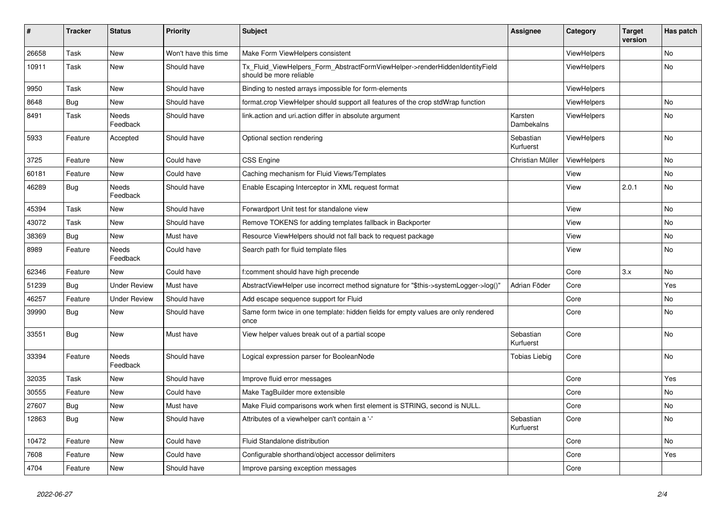| $\vert$ # | <b>Tracker</b> | <b>Status</b>       | <b>Priority</b>      | <b>Subject</b>                                                                                         | <b>Assignee</b>        | Category           | <b>Target</b><br>version | Has patch |
|-----------|----------------|---------------------|----------------------|--------------------------------------------------------------------------------------------------------|------------------------|--------------------|--------------------------|-----------|
| 26658     | Task           | <b>New</b>          | Won't have this time | Make Form ViewHelpers consistent                                                                       |                        | <b>ViewHelpers</b> |                          | <b>No</b> |
| 10911     | Task           | New                 | Should have          | Tx_Fluid_ViewHelpers_Form_AbstractFormViewHelper->renderHiddenIdentityField<br>should be more reliable |                        | ViewHelpers        |                          | <b>No</b> |
| 9950      | Task           | New                 | Should have          | Binding to nested arrays impossible for form-elements                                                  |                        | ViewHelpers        |                          |           |
| 8648      | Bug            | New                 | Should have          | format.crop ViewHelper should support all features of the crop stdWrap function                        |                        | ViewHelpers        |                          | No        |
| 8491      | Task           | Needs<br>Feedback   | Should have          | link.action and uri.action differ in absolute argument                                                 | Karsten<br>Dambekalns  | <b>ViewHelpers</b> |                          | No        |
| 5933      | Feature        | Accepted            | Should have          | Optional section rendering                                                                             | Sebastian<br>Kurfuerst | <b>ViewHelpers</b> |                          | No        |
| 3725      | Feature        | <b>New</b>          | Could have           | <b>CSS Engine</b>                                                                                      | Christian Müller       | <b>ViewHelpers</b> |                          | No        |
| 60181     | Feature        | <b>New</b>          | Could have           | Caching mechanism for Fluid Views/Templates                                                            |                        | View               |                          | <b>No</b> |
| 46289     | Bug            | Needs<br>Feedback   | Should have          | Enable Escaping Interceptor in XML request format                                                      |                        | View               | 2.0.1                    | <b>No</b> |
| 45394     | Task           | New                 | Should have          | Forwardport Unit test for standalone view                                                              |                        | View               |                          | No        |
| 43072     | Task           | New                 | Should have          | Remove TOKENS for adding templates fallback in Backporter                                              |                        | View               |                          | No        |
| 38369     | Bug            | New                 | Must have            | Resource ViewHelpers should not fall back to request package                                           |                        | View               |                          | No        |
| 8989      | Feature        | Needs<br>Feedback   | Could have           | Search path for fluid template files                                                                   |                        | View               |                          | No        |
| 62346     | Feature        | New                 | Could have           | f:comment should have high precende                                                                    |                        | Core               | 3.x                      | <b>No</b> |
| 51239     | Bug            | <b>Under Review</b> | Must have            | AbstractViewHelper use incorrect method signature for "\$this->systemLogger->log()"                    | Adrian Föder           | Core               |                          | Yes       |
| 46257     | Feature        | <b>Under Review</b> | Should have          | Add escape sequence support for Fluid                                                                  |                        | Core               |                          | No        |
| 39990     | Bug            | New                 | Should have          | Same form twice in one template: hidden fields for empty values are only rendered<br>once              |                        | Core               |                          | No        |
| 33551     | Bug            | New                 | Must have            | View helper values break out of a partial scope                                                        | Sebastian<br>Kurfuerst | Core               |                          | No        |
| 33394     | Feature        | Needs<br>Feedback   | Should have          | Logical expression parser for BooleanNode                                                              | Tobias Liebig          | Core               |                          | <b>No</b> |
| 32035     | Task           | <b>New</b>          | Should have          | Improve fluid error messages                                                                           |                        | Core               |                          | Yes       |
| 30555     | Feature        | New                 | Could have           | Make TagBuilder more extensible                                                                        |                        | Core               |                          | <b>No</b> |
| 27607     | Bug            | New                 | Must have            | Make Fluid comparisons work when first element is STRING, second is NULL.                              |                        | Core               |                          | No        |
| 12863     | Bug            | New                 | Should have          | Attributes of a viewhelper can't contain a '-'                                                         | Sebastian<br>Kurfuerst | Core               |                          | No        |
| 10472     | Feature        | New                 | Could have           | Fluid Standalone distribution                                                                          |                        | Core               |                          | No        |
| 7608      | Feature        | New                 | Could have           | Configurable shorthand/object accessor delimiters                                                      |                        | Core               |                          | Yes       |
| 4704      | Feature        | New                 | Should have          | Improve parsing exception messages                                                                     |                        | Core               |                          |           |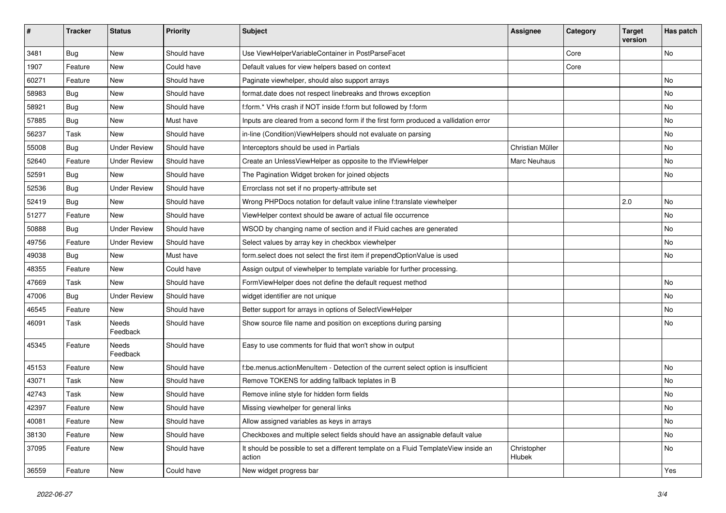| #     | <b>Tracker</b> | <b>Status</b>       | Priority    | Subject                                                                                       | <b>Assignee</b>       | Category | <b>Target</b><br>version | Has patch |
|-------|----------------|---------------------|-------------|-----------------------------------------------------------------------------------------------|-----------------------|----------|--------------------------|-----------|
| 3481  | Bug            | New                 | Should have | Use ViewHelperVariableContainer in PostParseFacet                                             |                       | Core     |                          | <b>No</b> |
| 1907  | Feature        | New                 | Could have  | Default values for view helpers based on context                                              |                       | Core     |                          |           |
| 60271 | Feature        | New                 | Should have | Paginate viewhelper, should also support arrays                                               |                       |          |                          | No        |
| 58983 | Bug            | New                 | Should have | format.date does not respect linebreaks and throws exception                                  |                       |          |                          | No        |
| 58921 | Bug            | New                 | Should have | f:form.* VHs crash if NOT inside f:form but followed by f:form                                |                       |          |                          | No        |
| 57885 | Bug            | New                 | Must have   | Inputs are cleared from a second form if the first form produced a vallidation error          |                       |          |                          | No        |
| 56237 | Task           | New                 | Should have | in-line (Condition) View Helpers should not evaluate on parsing                               |                       |          |                          | No        |
| 55008 | Bug            | <b>Under Review</b> | Should have | Interceptors should be used in Partials                                                       | Christian Müller      |          |                          | No        |
| 52640 | Feature        | <b>Under Review</b> | Should have | Create an UnlessViewHelper as opposite to the IfViewHelper                                    | Marc Neuhaus          |          |                          | No        |
| 52591 | Bug            | New                 | Should have | The Pagination Widget broken for joined objects                                               |                       |          |                          | No        |
| 52536 | Bug            | <b>Under Review</b> | Should have | Errorclass not set if no property-attribute set                                               |                       |          |                          |           |
| 52419 | Bug            | New                 | Should have | Wrong PHPDocs notation for default value inline f:translate viewhelper                        |                       |          | 2.0                      | No        |
| 51277 | Feature        | New                 | Should have | ViewHelper context should be aware of actual file occurrence                                  |                       |          |                          | No        |
| 50888 | Bug            | <b>Under Review</b> | Should have | WSOD by changing name of section and if Fluid caches are generated                            |                       |          |                          | No        |
| 49756 | Feature        | <b>Under Review</b> | Should have | Select values by array key in checkbox viewhelper                                             |                       |          |                          | No        |
| 49038 | Bug            | <b>New</b>          | Must have   | form.select does not select the first item if prependOptionValue is used                      |                       |          |                          | No        |
| 48355 | Feature        | New                 | Could have  | Assign output of viewhelper to template variable for further processing.                      |                       |          |                          |           |
| 47669 | Task           | New                 | Should have | FormViewHelper does not define the default request method                                     |                       |          |                          | No        |
| 47006 | Bug            | <b>Under Review</b> | Should have | widget identifier are not unique                                                              |                       |          |                          | No        |
| 46545 | Feature        | New                 | Should have | Better support for arrays in options of SelectViewHelper                                      |                       |          |                          | No        |
| 46091 | Task           | Needs<br>Feedback   | Should have | Show source file name and position on exceptions during parsing                               |                       |          |                          | No        |
| 45345 | Feature        | Needs<br>Feedback   | Should have | Easy to use comments for fluid that won't show in output                                      |                       |          |                          |           |
| 45153 | Feature        | New                 | Should have | f:be.menus.actionMenuItem - Detection of the current select option is insufficient            |                       |          |                          | No        |
| 43071 | Task           | New                 | Should have | Remove TOKENS for adding fallback teplates in B                                               |                       |          |                          | <b>No</b> |
| 42743 | Task           | New                 | Should have | Remove inline style for hidden form fields                                                    |                       |          |                          | No        |
| 42397 | Feature        | New                 | Should have | Missing viewhelper for general links                                                          |                       |          |                          | No        |
| 40081 | Feature        | New                 | Should have | Allow assigned variables as keys in arrays                                                    |                       |          |                          | No        |
| 38130 | Feature        | New                 | Should have | Checkboxes and multiple select fields should have an assignable default value                 |                       |          |                          | No        |
| 37095 | Feature        | New                 | Should have | It should be possible to set a different template on a Fluid TemplateView inside an<br>action | Christopher<br>Hlubek |          |                          | No        |
| 36559 | Feature        | New                 | Could have  | New widget progress bar                                                                       |                       |          |                          | Yes       |